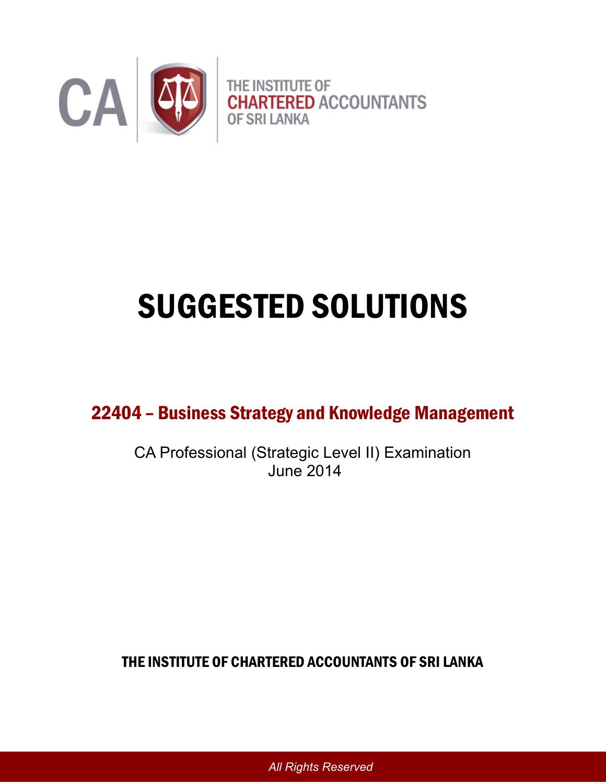

# SUGGESTED SOLUTIONS

22404 – Business Strategy and Knowledge Management

CA Professional (Strategic Level II) Examination June 2014

THE INSTITUTE OF CHARTERED ACCOUNTANTS OF SRI LANKA

*All Rights Reserved*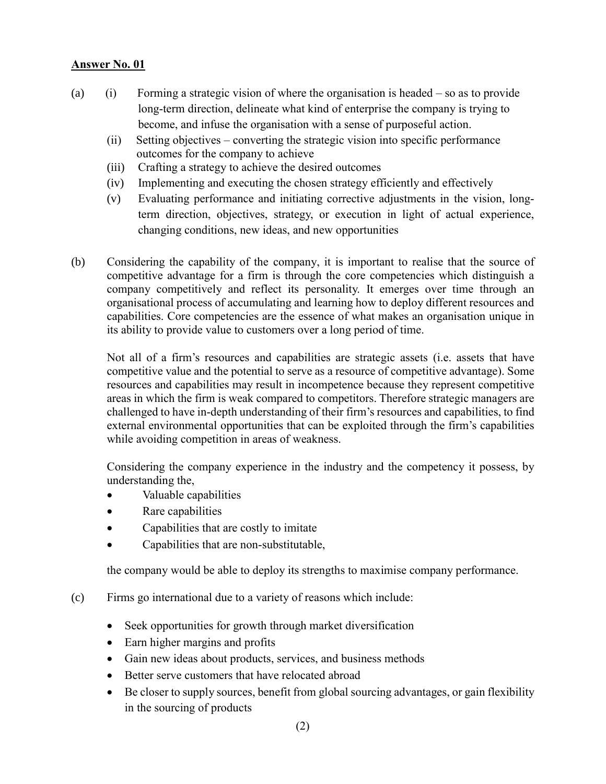- (a) (i) Forming a strategic vision of where the organisation is headed so as to provide long-term direction, delineate what kind of enterprise the company is trying to become, and infuse the organisation with a sense of purposeful action.
	- (ii) Setting objectives converting the strategic vision into specific performance outcomes for the company to achieve
	- (iii) Crafting a strategy to achieve the desired outcomes
	- (iv) Implementing and executing the chosen strategy efficiently and effectively
	- (v) Evaluating performance and initiating corrective adjustments in the vision, longterm direction, objectives, strategy, or execution in light of actual experience, changing conditions, new ideas, and new opportunities
- (b) Considering the capability of the company, it is important to realise that the source of competitive advantage for a firm is through the core competencies which distinguish a company competitively and reflect its personality. It emerges over time through an organisational process of accumulating and learning how to deploy different resources and capabilities. Core competencies are the essence of what makes an organisation unique in its ability to provide value to customers over a long period of time.

Not all of a firm's resources and capabilities are strategic assets (i.e. assets that have competitive value and the potential to serve as a resource of competitive advantage). Some resources and capabilities may result in incompetence because they represent competitive areas in which the firm is weak compared to competitors. Therefore strategic managers are challenged to have in-depth understanding of their firm's resources and capabilities, to find external environmental opportunities that can be exploited through the firm's capabilities while avoiding competition in areas of weakness.

Considering the company experience in the industry and the competency it possess, by understanding the,

- Valuable capabilities
- Rare capabilities
- Capabilities that are costly to imitate
- Capabilities that are non-substitutable,

the company would be able to deploy its strengths to maximise company performance.

- (c) Firms go international due to a variety of reasons which include:
	- Seek opportunities for growth through market diversification
	- Earn higher margins and profits
	- Gain new ideas about products, services, and business methods
	- Better serve customers that have relocated abroad
	- Be closer to supply sources, benefit from global sourcing advantages, or gain flexibility in the sourcing of products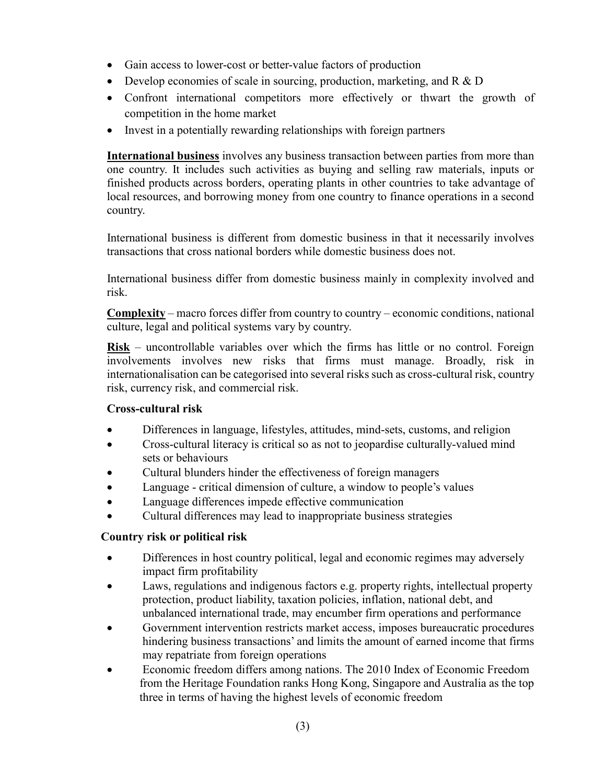- Gain access to lower-cost or better-value factors of production
- Develop economies of scale in sourcing, production, marketing, and R & D
- Confront international competitors more effectively or thwart the growth of competition in the home market
- Invest in a potentially rewarding relationships with foreign partners

 **International business** involves any business transaction between parties from more than one country. It includes such activities as buying and selling raw materials, inputs or finished products across borders, operating plants in other countries to take advantage of local resources, and borrowing money from one country to finance operations in a second country.

 International business is different from domestic business in that it necessarily involves transactions that cross national borders while domestic business does not.

 International business differ from domestic business mainly in complexity involved and risk.

**Complexity** – macro forces differ from country to country – economic conditions, national culture, legal and political systems vary by country.

**Risk** – uncontrollable variables over which the firms has little or no control. Foreign involvements involves new risks that firms must manage. Broadly, risk in internationalisation can be categorised into several risks such as cross-cultural risk, country risk, currency risk, and commercial risk.

## **Cross-cultural risk**

- Differences in language, lifestyles, attitudes, mind-sets, customs, and religion
- Cross-cultural literacy is critical so as not to jeopardise culturally-valued mind sets or behaviours
- Cultural blunders hinder the effectiveness of foreign managers
- Language critical dimension of culture, a window to people's values
- Language differences impede effective communication
- Cultural differences may lead to inappropriate business strategies

## **Country risk or political risk**

- Differences in host country political, legal and economic regimes may adversely impact firm profitability
- Laws, regulations and indigenous factors e.g. property rights, intellectual property protection, product liability, taxation policies, inflation, national debt, and unbalanced international trade, may encumber firm operations and performance
- Government intervention restricts market access, imposes bureaucratic procedures hindering business transactions' and limits the amount of earned income that firms may repatriate from foreign operations
- Economic freedom differs among nations. The 2010 Index of Economic Freedom from the Heritage Foundation ranks Hong Kong, Singapore and Australia as the top three in terms of having the highest levels of economic freedom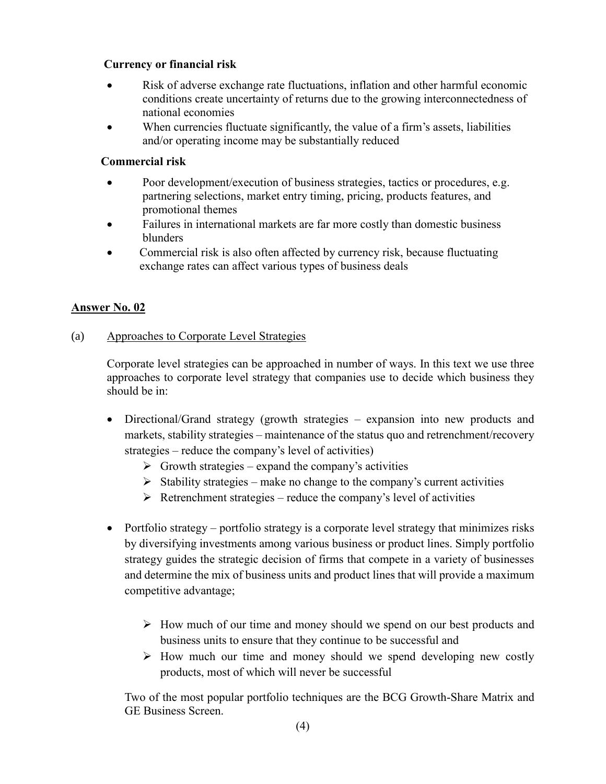## **Currency or financial risk**

- Risk of adverse exchange rate fluctuations, inflation and other harmful economic conditions create uncertainty of returns due to the growing interconnectedness of national economies
- When currencies fluctuate significantly, the value of a firm's assets, liabilities and/or operating income may be substantially reduced

## **Commercial risk**

- Poor development/execution of business strategies, tactics or procedures, e.g. partnering selections, market entry timing, pricing, products features, and promotional themes
- Failures in international markets are far more costly than domestic business blunders
- Commercial risk is also often affected by currency risk, because fluctuating exchange rates can affect various types of business deals

## **Answer No. 02**

## (a) Approaches to Corporate Level Strategies

Corporate level strategies can be approached in number of ways. In this text we use three approaches to corporate level strategy that companies use to decide which business they should be in:

- Directional/Grand strategy (growth strategies expansion into new products and markets, stability strategies – maintenance of the status quo and retrenchment/recovery strategies – reduce the company's level of activities)
	- $\triangleright$  Growth strategies expand the company's activities
	- $\triangleright$  Stability strategies make no change to the company's current activities
	- $\triangleright$  Retrenchment strategies reduce the company's level of activities
- Portfolio strategy portfolio strategy is a corporate level strategy that minimizes risks by diversifying investments among various business or product lines. Simply portfolio strategy guides the strategic decision of firms that compete in a variety of businesses and determine the mix of business units and product lines that will provide a maximum competitive advantage;
	- $\triangleright$  How much of our time and money should we spend on our best products and business units to ensure that they continue to be successful and
	- $\triangleright$  How much our time and money should we spend developing new costly products, most of which will never be successful

Two of the most popular portfolio techniques are the BCG Growth-Share Matrix and GE Business Screen.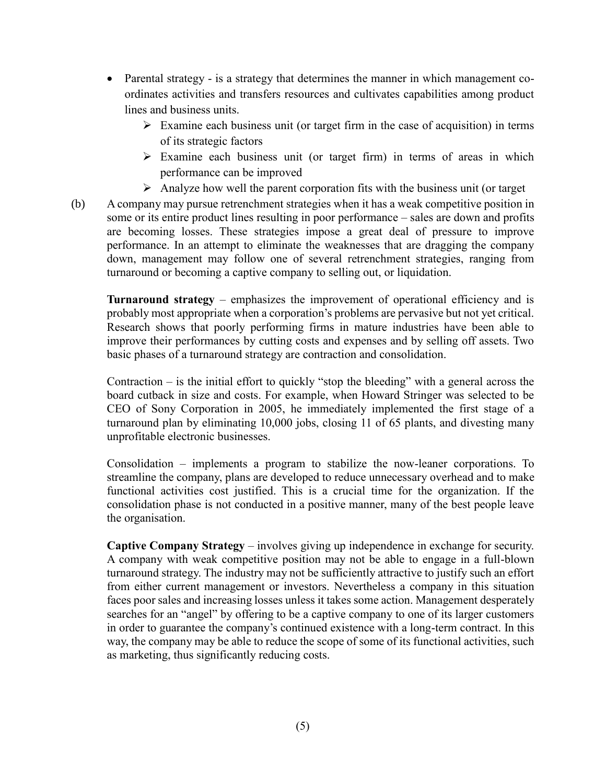- Parental strategy is a strategy that determines the manner in which management coordinates activities and transfers resources and cultivates capabilities among product lines and business units.
	- $\triangleright$  Examine each business unit (or target firm in the case of acquisition) in terms of its strategic factors
	- $\triangleright$  Examine each business unit (or target firm) in terms of areas in which performance can be improved
	- $\triangleright$  Analyze how well the parent corporation fits with the business unit (or target
- (b) A company may pursue retrenchment strategies when it has a weak competitive position in some or its entire product lines resulting in poor performance – sales are down and profits are becoming losses. These strategies impose a great deal of pressure to improve performance. In an attempt to eliminate the weaknesses that are dragging the company down, management may follow one of several retrenchment strategies, ranging from turnaround or becoming a captive company to selling out, or liquidation.

**Turnaround strategy** – emphasizes the improvement of operational efficiency and is probably most appropriate when a corporation's problems are pervasive but not yet critical. Research shows that poorly performing firms in mature industries have been able to improve their performances by cutting costs and expenses and by selling off assets. Two basic phases of a turnaround strategy are contraction and consolidation.

Contraction – is the initial effort to quickly "stop the bleeding" with a general across the board cutback in size and costs. For example, when Howard Stringer was selected to be CEO of Sony Corporation in 2005, he immediately implemented the first stage of a turnaround plan by eliminating 10,000 jobs, closing 11 of 65 plants, and divesting many unprofitable electronic businesses.

Consolidation – implements a program to stabilize the now-leaner corporations. To streamline the company, plans are developed to reduce unnecessary overhead and to make functional activities cost justified. This is a crucial time for the organization. If the consolidation phase is not conducted in a positive manner, many of the best people leave the organisation.

**Captive Company Strategy** – involves giving up independence in exchange for security. A company with weak competitive position may not be able to engage in a full-blown turnaround strategy. The industry may not be sufficiently attractive to justify such an effort from either current management or investors. Nevertheless a company in this situation faces poor sales and increasing losses unless it takes some action. Management desperately searches for an "angel" by offering to be a captive company to one of its larger customers in order to guarantee the company's continued existence with a long-term contract. In this way, the company may be able to reduce the scope of some of its functional activities, such as marketing, thus significantly reducing costs.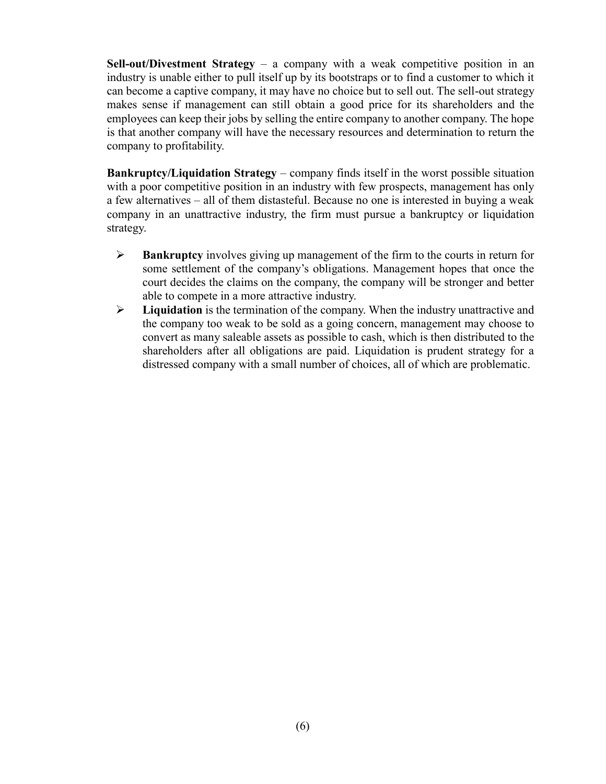**Sell-out/Divestment Strategy** – a company with a weak competitive position in an industry is unable either to pull itself up by its bootstraps or to find a customer to which it can become a captive company, it may have no choice but to sell out. The sell-out strategy makes sense if management can still obtain a good price for its shareholders and the employees can keep their jobs by selling the entire company to another company. The hope is that another company will have the necessary resources and determination to return the company to profitability.

**Bankruptcy/Liquidation Strategy – company finds itself in the worst possible situation** with a poor competitive position in an industry with few prospects, management has only a few alternatives – all of them distasteful. Because no one is interested in buying a weak company in an unattractive industry, the firm must pursue a bankruptcy or liquidation strategy.

- **Bankruptcy** involves giving up management of the firm to the courts in return for some settlement of the company's obligations. Management hopes that once the court decides the claims on the company, the company will be stronger and better able to compete in a more attractive industry.
- **Liquidation** is the termination of the company. When the industry unattractive and the company too weak to be sold as a going concern, management may choose to convert as many saleable assets as possible to cash, which is then distributed to the shareholders after all obligations are paid. Liquidation is prudent strategy for a distressed company with a small number of choices, all of which are problematic.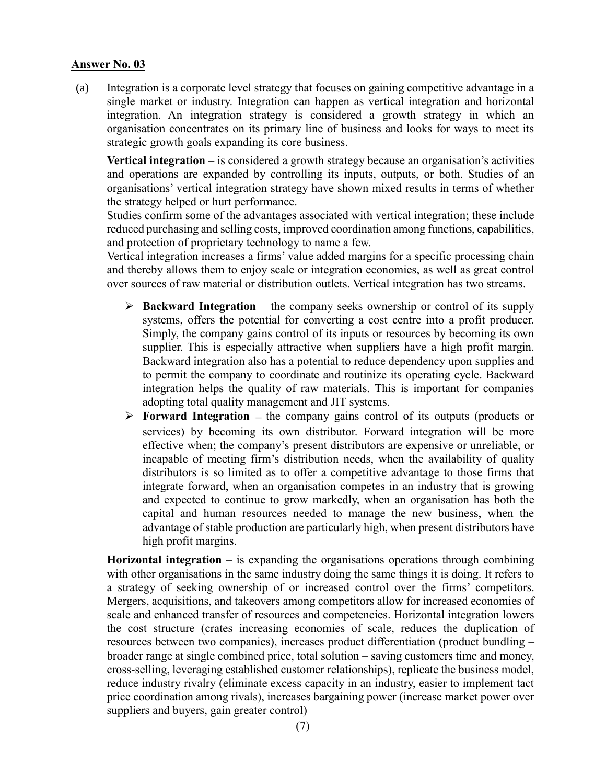(a) Integration is a corporate level strategy that focuses on gaining competitive advantage in a single market or industry. Integration can happen as vertical integration and horizontal integration. An integration strategy is considered a growth strategy in which an organisation concentrates on its primary line of business and looks for ways to meet its strategic growth goals expanding its core business.

**Vertical integration** – is considered a growth strategy because an organisation's activities and operations are expanded by controlling its inputs, outputs, or both. Studies of an organisations' vertical integration strategy have shown mixed results in terms of whether the strategy helped or hurt performance.

Studies confirm some of the advantages associated with vertical integration; these include reduced purchasing and selling costs, improved coordination among functions, capabilities, and protection of proprietary technology to name a few.

Vertical integration increases a firms' value added margins for a specific processing chain and thereby allows them to enjoy scale or integration economies, as well as great control over sources of raw material or distribution outlets. Vertical integration has two streams.

- **Backward Integration** the company seeks ownership or control of its supply systems, offers the potential for converting a cost centre into a profit producer. Simply, the company gains control of its inputs or resources by becoming its own supplier. This is especially attractive when suppliers have a high profit margin. Backward integration also has a potential to reduce dependency upon supplies and to permit the company to coordinate and routinize its operating cycle. Backward integration helps the quality of raw materials. This is important for companies adopting total quality management and JIT systems.
- **Forward Integration**  the company gains control of its outputs (products or services) by becoming its own distributor. Forward integration will be more effective when; the company's present distributors are expensive or unreliable, or incapable of meeting firm's distribution needs, when the availability of quality distributors is so limited as to offer a competitive advantage to those firms that integrate forward, when an organisation competes in an industry that is growing and expected to continue to grow markedly, when an organisation has both the capital and human resources needed to manage the new business, when the advantage of stable production are particularly high, when present distributors have high profit margins.

**Horizontal integration** – is expanding the organisations operations through combining with other organisations in the same industry doing the same things it is doing. It refers to a strategy of seeking ownership of or increased control over the firms' competitors. Mergers, acquisitions, and takeovers among competitors allow for increased economies of scale and enhanced transfer of resources and competencies. Horizontal integration lowers the cost structure (crates increasing economies of scale, reduces the duplication of resources between two companies), increases product differentiation (product bundling – broader range at single combined price, total solution – saving customers time and money, cross-selling, leveraging established customer relationships), replicate the business model, reduce industry rivalry (eliminate excess capacity in an industry, easier to implement tact price coordination among rivals), increases bargaining power (increase market power over suppliers and buyers, gain greater control)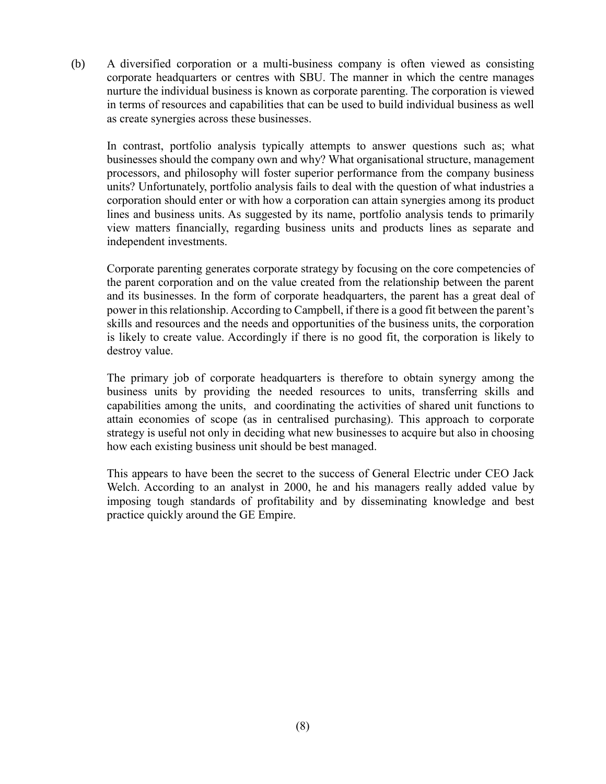(b) A diversified corporation or a multi-business company is often viewed as consisting corporate headquarters or centres with SBU. The manner in which the centre manages nurture the individual business is known as corporate parenting. The corporation is viewed in terms of resources and capabilities that can be used to build individual business as well as create synergies across these businesses.

In contrast, portfolio analysis typically attempts to answer questions such as; what businesses should the company own and why? What organisational structure, management processors, and philosophy will foster superior performance from the company business units? Unfortunately, portfolio analysis fails to deal with the question of what industries a corporation should enter or with how a corporation can attain synergies among its product lines and business units. As suggested by its name, portfolio analysis tends to primarily view matters financially, regarding business units and products lines as separate and independent investments.

Corporate parenting generates corporate strategy by focusing on the core competencies of the parent corporation and on the value created from the relationship between the parent and its businesses. In the form of corporate headquarters, the parent has a great deal of power in this relationship. According to Campbell, if there is a good fit between the parent's skills and resources and the needs and opportunities of the business units, the corporation is likely to create value. Accordingly if there is no good fit, the corporation is likely to destroy value.

The primary job of corporate headquarters is therefore to obtain synergy among the business units by providing the needed resources to units, transferring skills and capabilities among the units, and coordinating the activities of shared unit functions to attain economies of scope (as in centralised purchasing). This approach to corporate strategy is useful not only in deciding what new businesses to acquire but also in choosing how each existing business unit should be best managed.

This appears to have been the secret to the success of General Electric under CEO Jack Welch. According to an analyst in 2000, he and his managers really added value by imposing tough standards of profitability and by disseminating knowledge and best practice quickly around the GE Empire.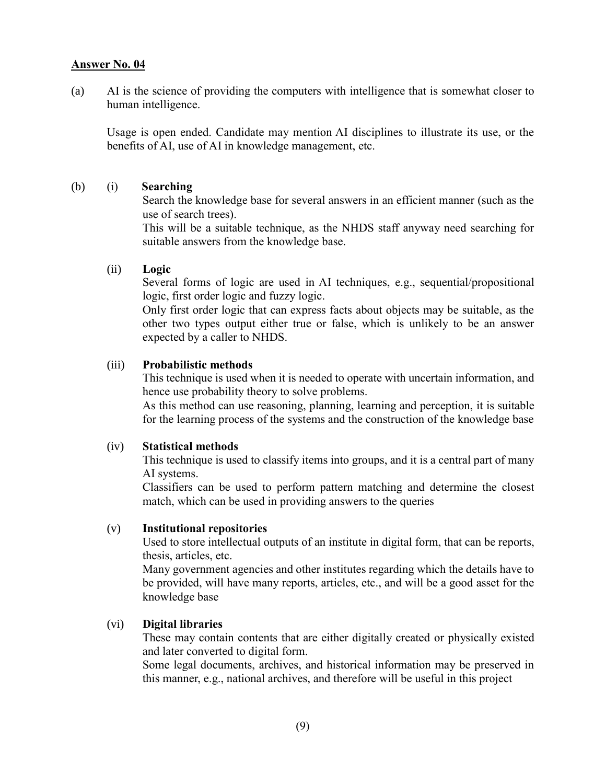(a) AI is the science of providing the computers with intelligence that is somewhat closer to human intelligence.

Usage is open ended. Candidate may mention AI disciplines to illustrate its use, or the benefits of AI, use of AI in knowledge management, etc.

#### (b) (i) **Searching**

Search the knowledge base for several answers in an efficient manner (such as the use of search trees).

This will be a suitable technique, as the NHDS staff anyway need searching for suitable answers from the knowledge base.

#### (ii) **Logic**

Several forms of logic are used in AI techniques, e.g., sequential/propositional logic, first order logic and fuzzy logic.

Only first order logic that can express facts about objects may be suitable, as the other two types output either true or false, which is unlikely to be an answer expected by a caller to NHDS.

#### (iii) **Probabilistic methods**

This technique is used when it is needed to operate with uncertain information, and hence use probability theory to solve problems.

As this method can use reasoning, planning, learning and perception, it is suitable for the learning process of the systems and the construction of the knowledge base

#### (iv) **Statistical methods**

This technique is used to classify items into groups, and it is a central part of many AI systems.

Classifiers can be used to perform pattern matching and determine the closest match, which can be used in providing answers to the queries

#### (v) **Institutional repositories**

Used to store intellectual outputs of an institute in digital form, that can be reports, thesis, articles, etc.

Many government agencies and other institutes regarding which the details have to be provided, will have many reports, articles, etc., and will be a good asset for the knowledge base

#### (vi) **Digital libraries**

These may contain contents that are either digitally created or physically existed and later converted to digital form.

Some legal documents, archives, and historical information may be preserved in this manner, e.g., national archives, and therefore will be useful in this project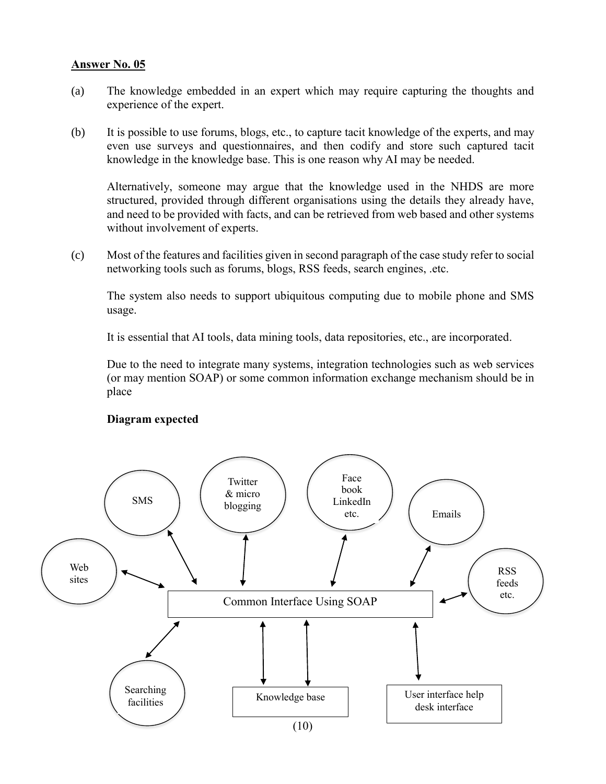- (a) The knowledge embedded in an expert which may require capturing the thoughts and experience of the expert.
- (b) It is possible to use forums, blogs, etc., to capture tacit knowledge of the experts, and may even use surveys and questionnaires, and then codify and store such captured tacit knowledge in the knowledge base. This is one reason why AI may be needed.

Alternatively, someone may argue that the knowledge used in the NHDS are more structured, provided through different organisations using the details they already have, and need to be provided with facts, and can be retrieved from web based and other systems without involvement of experts.

(c) Most of the features and facilities given in second paragraph of the case study refer to social networking tools such as forums, blogs, RSS feeds, search engines, .etc.

The system also needs to support ubiquitous computing due to mobile phone and SMS usage.

It is essential that AI tools, data mining tools, data repositories, etc., are incorporated.

Due to the need to integrate many systems, integration technologies such as web services (or may mention SOAP) or some common information exchange mechanism should be in place

#### **Diagram expected**

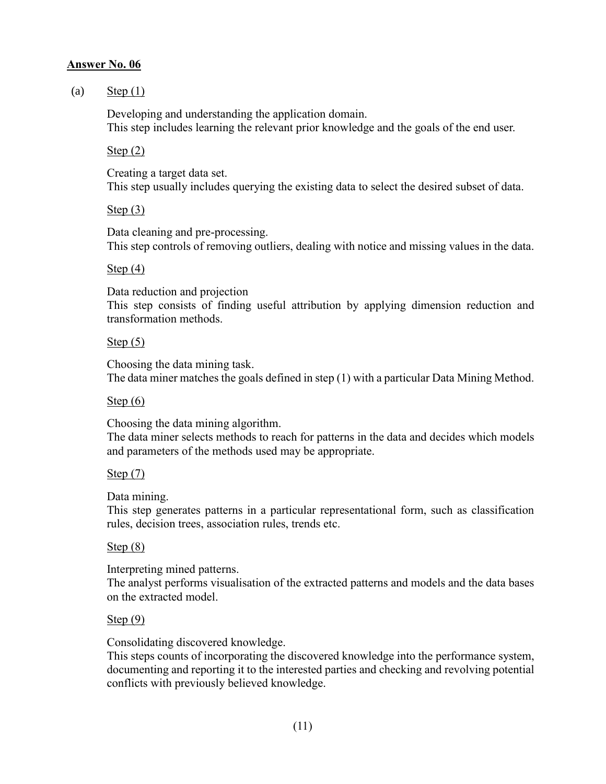### (a) Step  $(1)$

Developing and understanding the application domain. This step includes learning the relevant prior knowledge and the goals of the end user.

#### Step (2)

Creating a target data set. This step usually includes querying the existing data to select the desired subset of data.

#### Step  $(3)$

Data cleaning and pre-processing. This step controls of removing outliers, dealing with notice and missing values in the data.

#### Step (4)

Data reduction and projection This step consists of finding useful attribution by applying dimension reduction and transformation methods.

## Step (5)

Choosing the data mining task. The data miner matches the goals defined in step (1) with a particular Data Mining Method.

## Step (6)

Choosing the data mining algorithm.

The data miner selects methods to reach for patterns in the data and decides which models and parameters of the methods used may be appropriate.

## Step (7)

Data mining.

This step generates patterns in a particular representational form, such as classification rules, decision trees, association rules, trends etc.

## Step (8)

Interpreting mined patterns.

The analyst performs visualisation of the extracted patterns and models and the data bases on the extracted model.

## Step (9)

Consolidating discovered knowledge.

This steps counts of incorporating the discovered knowledge into the performance system, documenting and reporting it to the interested parties and checking and revolving potential conflicts with previously believed knowledge.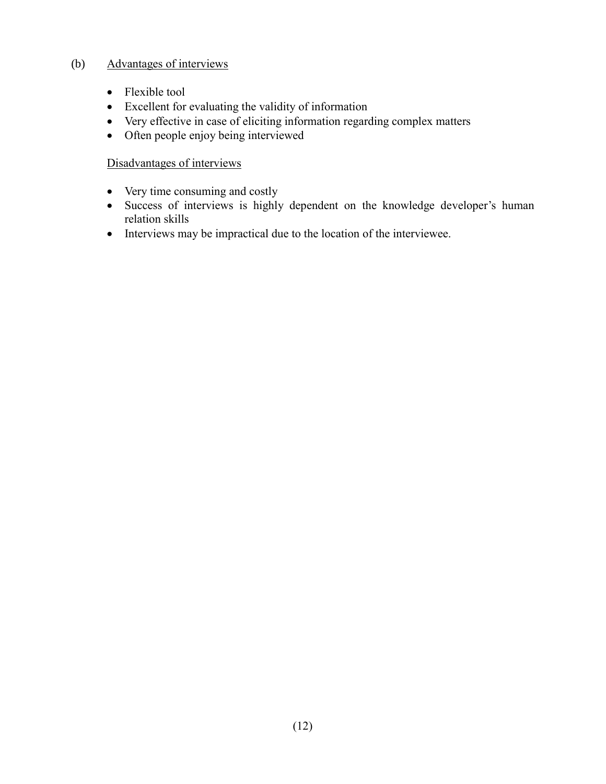## (b) Advantages of interviews

- Flexible tool
- Excellent for evaluating the validity of information
- Very effective in case of eliciting information regarding complex matters
- Often people enjoy being interviewed

## Disadvantages of interviews

- Very time consuming and costly
- Success of interviews is highly dependent on the knowledge developer's human relation skills
- Interviews may be impractical due to the location of the interviewee.